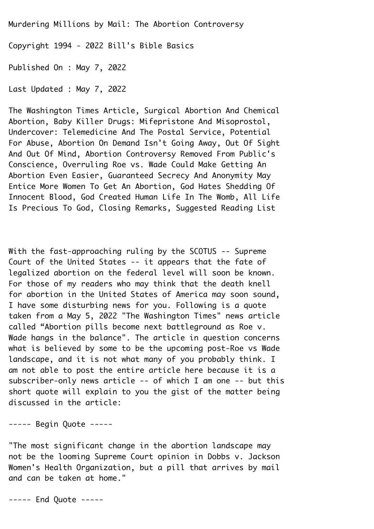Murdering Millions by Mail: The Abortion Controversy¬ Copyright 1994 - 2022 Bill's Bible Basics¬

Published On : May 7, 2022¬

Last Updated : May 7, 2022¬

The Washington Times Article, Surgical Abortion And Chemical¬ Abortion, Baby Killer Drugs: Mifepristone And Misoprostol,¬ Undercover: Telemedicine And The Postal Service, Potential¬ For Abuse, Abortion On Demand Isn't Going Away, Out Of Sight¬ And Out Of Mind, Abortion Controversy Removed From Public's¬ Conscience, Overruling Roe vs. Wade Could Make Getting An¬ Abortion Even Easier, Guaranteed Secrecy And Anonymity May¬ Entice More Women To Get An Abortion, God Hates Shedding Of¬ Innocent Blood, God Created Human Life In The Womb, All Life¬ Is Precious To God, Closing Remarks, Suggested Reading List¬

With the fast-approaching ruling by the SCOTUS  $-$ - Supreme Court of the United States -- it appears that the fate of legalized abortion on the federal level will soon be known. For those of my readers who may think that the death knell for abortion in the United States of America may soon sound, I have some disturbing news for you. Following is a quote taken from a May 5, 2022 "The Washington Times" news article called "Abortion pills become next battleground as Roe v. Wade hangs in the balance". The article in question concerns what is believed by some to be the upcoming post-Roe vs Wade landscape, and it is not what many of you probably think. I am not able to post the entire article here because it is a subscriber-only news article  $--$  of which I am one  $--$  but this short quote will explain to you the gist of the matter being discussed in the article:

----- Begin Ouote -----

"The most significant change in the abortion landscape may not be the looming Supreme Court opinion in Dobbs v. Jackson¬ Women's Health Organization, but a pill that arrives by mail and can be taken at home."

----- End Quote -----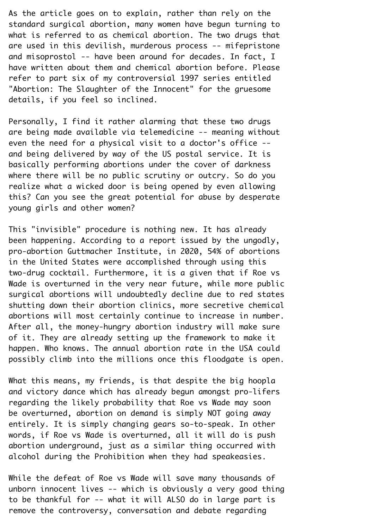As the article goes on to explain, rather than rely on the standard surgical abortion, many women have begun turning to what is referred to as chemical abortion. The two drugs that are used in this devilish, murderous process -- mifepristone and misoprostol -- have been around for decades. In fact, I have written about them and chemical abortion before. Please refer to part six of my controversial 1997 series entitled¬ "Abortion: The Slaughter of the Innocent" for the gruesome details, if you feel so inclined.¬

Personally, I find it rather alarming that these two drugs are being made available via telemedicine -- meaning without even the need for a physical visit to a doctor's office -and being delivered by way of the US postal service. It is basically performing abortions under the cover of darkness where there will be no public scrutiny or outcry. So do you realize what a wicked door is being opened by even allowing this? Can you see the great potential for abuse by desperate young girls and other women?¬

This "invisible" procedure is nothing new. It has already been happening. According to a report issued by the ungodly, pro-abortion Guttmacher Institute, in 2020, 54% of abortions in the United States were accomplished through using this two-drug cocktail. Furthermore, it is a given that if Roe vs¬ Wade is overturned in the very near future, while more public surgical abortions will undoubtedly decline due to red states shutting down their abortion clinics, more secretive chemical abortions will most certainly continue to increase in number. After all, the money-hungry abortion industry will make sure of it. They are already setting up the framework to make it happen. Who knows. The annual abortion rate in the USA could possibly climb into the millions once this floodgate is open.¬

What this means, my friends, is that despite the big hoopla and victory dance which has already begun amongst pro-lifers regarding the likely probability that Roe vs Wade may soon be overturned, abortion on demand is simply NOT going away entirely. It is simply changing gears so-to-speak. In other words, if Roe vs Wade is overturned, all it will do is push abortion underground, just as a similar thing occurred with alcohol during the Prohibition when they had speakeasies.

While the defeat of Roe vs Wade will save many thousands of unborn innocent lives -- which is obviously a very good thing to be thankful for -- what it will ALSO do in large part is remove the controversy, conversation and debate regarding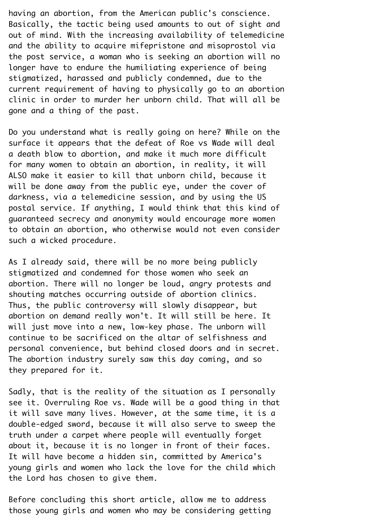having an abortion, from the American public's conscience. Basically, the tactic being used amounts to out of sight and out of mind. With the increasing availability of telemedicine and the ability to acquire mifepristone and misoprostol via the post service, a woman who is seeking an abortion will no longer have to endure the humiliating experience of being stigmatized, harassed and publicly condemned, due to the current requirement of having to physically go to an abortion clinic in order to murder her unborn child. That will all be gone and a thing of the past.

Do you understand what is really going on here? While on the surface it appears that the defeat of Roe vs Wade will deal a death blow to abortion, and make it much more difficult for many women to obtain an abortion, in reality, it will ALSO make it easier to kill that unborn child, because it will be done away from the public eye, under the cover of darkness, via a telemedicine session, and by using the US postal service. If anything, I would think that this kind of guaranteed secrecy and anonymity would encourage more women to obtain an abortion, who otherwise would not even consider such a wicked procedure.

As I already said, there will be no more being publicly stigmatized and condemned for those women who seek an abortion. There will no longer be loud, angry protests and shouting matches occurring outside of abortion clinics. Thus, the public controversy will slowly disappear, but abortion on demand really won't. It will still be here. It will just move into a new, low-key phase. The unborn will continue to be sacrificed on the altar of selfishness and personal convenience, but behind closed doors and in secret. The abortion industry surely saw this day coming, and so they prepared for it.¬

Sadly, that is the reality of the situation as I personally see it. Overruling Roe vs. Wade will be a good thing in that it will save many lives. However, at the same time, it is a double-edged sword, because it will also serve to sweep the truth under a carpet where people will eventually forget about it, because it is no longer in front of their faces. It will have become a hidden sin, committed by America's young girls and women who lack the love for the child which the Lord has chosen to give them.

Before concluding this short article, allow me to address those young girls and women who may be considering getting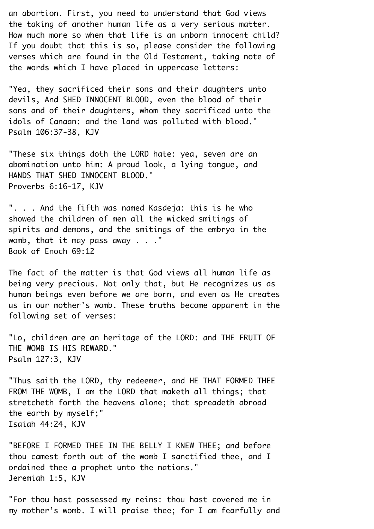an abortion. First, you need to understand that God views the taking of another human life as a very serious matter.¬ How much more so when that life is an unborn innocent child?¬ If you doubt that this is so, please consider the following verses which are found in the Old Testament, taking note of the words which I have placed in uppercase letters:

"Yea, they sacrificed their sons and their daughters unto devils, And SHED INNOCENT BLOOD, even the blood of their sons and of their daughters, whom they sacrificed unto the idols of Canaan: and the land was polluted with blood." Psalm 106:37-38, KJV¬

"These six things doth the LORD hate: yea, seven are an abomination unto him: A proud look, a lying tongue, and¬ HANDS THAT SHED INNOCENT BLOOD." Proverbs 6:16-17, KJV¬

". . . And the fifth was named Kasdeja: this is he who showed the children of men all the wicked smitings of spirits and demons, and the smitings of the embryo in the womb, that it may pass away  $\ldots$ ." Book of Enoch 69:12¬

The fact of the matter is that God views all human life as being very precious. Not only that, but He recognizes us as human beings even before we are born, and even as He creates us in our mother's womb. These truths become apparent in the following set of verses:

"Lo, children are an heritage of the LORD: and THE FRUIT OF THE WOMB IS HIS REWARD." Psalm 127:3, KJV¬

"Thus saith the LORD, thy redeemer, and HE THAT FORMED THEE¬ FROM THE WOMB, I am the LORD that maketh all things; that stretcheth forth the heavens alone; that spreadeth abroad the earth by myself;"¬ Isaiah 44:24, KJV¬

"BEFORE I FORMED THEE IN THE BELLY I KNEW THEE; and before thou camest forth out of the womb I sanctified thee, and I ordained thee a prophet unto the nations." Jeremiah 1:5, KJV¬

"For thou hast possessed my reins: thou hast covered me in my mother's womb. I will praise thee; for I am fearfully and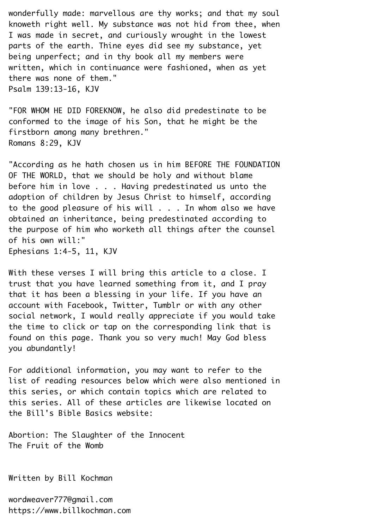wonderfully made: marvellous are thy works; and that my soul knoweth right well. My substance was not hid from thee, when¬ I was made in secret, and curiously wrought in the lowest parts of the earth. Thine eyes did see my substance, yet being unperfect; and in thy book all my members were written, which in continuance were fashioned, when as yet there was none of them." Psalm 139:13-16, KJV¬

"FOR WHOM HE DID FOREKNOW, he also did predestinate to be conformed to the image of his Son, that he might be the firstborn among many brethren." Romans 8:29, KJV¬

"According as he hath chosen us in him BEFORE THE FOUNDATION¬ OF THE WORLD, that we should be holy and without blame before him in love  $\ldots$ . Having predestinated us unto the adoption of children by Jesus Christ to himself, according to the good pleasure of his will  $\ldots$ . In whom also we have obtained an inheritance, being predestinated according to the purpose of him who worketh all things after the counsel of his own will:"¬ Ephesians 1:4-5, 11, KJV¬

With these verses I will bring this article to a close. I trust that you have learned something from it, and I pray that it has been a blessing in your life. If you have an account with Facebook, Twitter, Tumblr or with any other social network, I would really appreciate if you would take the time to click or tap on the corresponding link that is found on this page. Thank you so very much! May God bless you abundantly!¬

For additional information, you may want to refer to the list of reading resources below which were also mentioned in this series, or which contain topics which are related to this series. All of these articles are likewise located on the Bill's Bible Basics website:¬

Abortion: The Slaughter of the Innocent The Fruit of the Womb¬

Written by Bill Kochman¬

wordweaver777@gmail.com https://www.billkochman.com